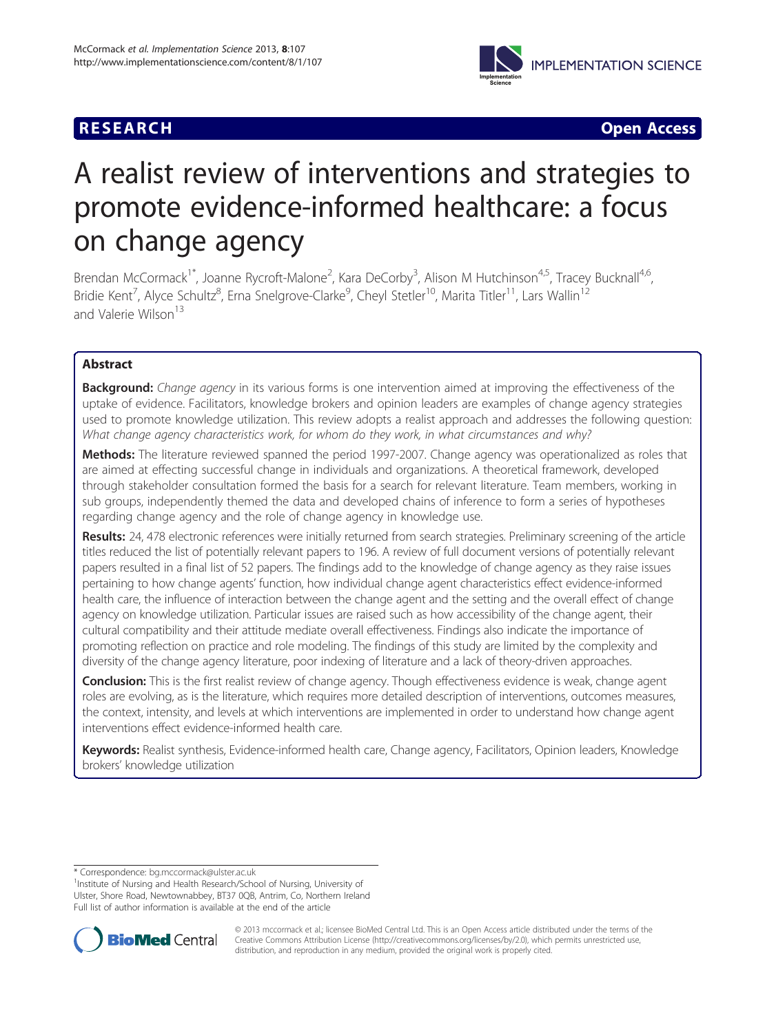



# A realist review of interventions and strategies to promote evidence-informed healthcare: a focus on change agency

Brendan McCormack<sup>1\*</sup>, Joanne Rycroft-Malone<sup>2</sup>, Kara DeCorby<sup>3</sup>, Alison M Hutchinson<sup>4,5</sup>, Tracey Bucknall<sup>4,6</sup>, Bridie Kent<sup>7</sup>, Alyce Schultz<sup>8</sup>, Erna Snelgrove-Clarke<sup>9</sup>, Cheyl Stetler<sup>10</sup>, Marita Titler<sup>11</sup>, Lars Wallin<sup>12</sup> and Valerie Wilson<sup>13</sup>

# Abstract

Background: Change agency in its various forms is one intervention aimed at improving the effectiveness of the uptake of evidence. Facilitators, knowledge brokers and opinion leaders are examples of change agency strategies used to promote knowledge utilization. This review adopts a realist approach and addresses the following question: What change agency characteristics work, for whom do they work, in what circumstances and why?

Methods: The literature reviewed spanned the period 1997-2007. Change agency was operationalized as roles that are aimed at effecting successful change in individuals and organizations. A theoretical framework, developed through stakeholder consultation formed the basis for a search for relevant literature. Team members, working in sub groups, independently themed the data and developed chains of inference to form a series of hypotheses regarding change agency and the role of change agency in knowledge use.

Results: 24, 478 electronic references were initially returned from search strategies. Preliminary screening of the article titles reduced the list of potentially relevant papers to 196. A review of full document versions of potentially relevant papers resulted in a final list of 52 papers. The findings add to the knowledge of change agency as they raise issues pertaining to how change agents' function, how individual change agent characteristics effect evidence-informed health care, the influence of interaction between the change agent and the setting and the overall effect of change agency on knowledge utilization. Particular issues are raised such as how accessibility of the change agent, their cultural compatibility and their attitude mediate overall effectiveness. Findings also indicate the importance of promoting reflection on practice and role modeling. The findings of this study are limited by the complexity and diversity of the change agency literature, poor indexing of literature and a lack of theory-driven approaches.

Conclusion: This is the first realist review of change agency. Though effectiveness evidence is weak, change agent roles are evolving, as is the literature, which requires more detailed description of interventions, outcomes measures, the context, intensity, and levels at which interventions are implemented in order to understand how change agent interventions effect evidence-informed health care.

Keywords: Realist synthesis, Evidence-informed health care, Change agency, Facilitators, Opinion leaders, Knowledge brokers' knowledge utilization

<sup>1</sup>Institute of Nursing and Health Research/School of Nursing, University of Ulster, Shore Road, Newtownabbey, BT37 0QB, Antrim, Co, Northern Ireland Full list of author information is available at the end of the article



© 2013 mccormack et al.; licensee BioMed Central Ltd. This is an Open Access article distributed under the terms of the Creative Commons Attribution License (<http://creativecommons.org/licenses/by/2.0>), which permits unrestricted use, distribution, and reproduction in any medium, provided the original work is properly cited.

<sup>\*</sup> Correspondence: [bg.mccormack@ulster.ac.uk](mailto:bg.mccormack@ulster.ac.uk) <sup>1</sup>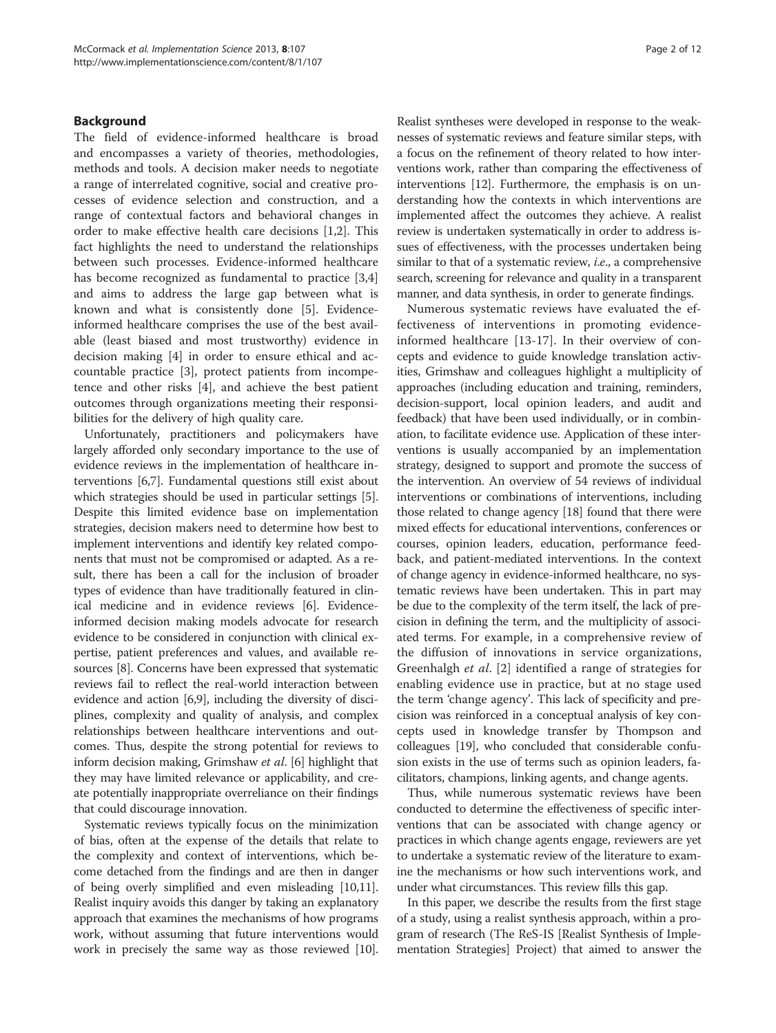## Background

The field of evidence-informed healthcare is broad and encompasses a variety of theories, methodologies, methods and tools. A decision maker needs to negotiate a range of interrelated cognitive, social and creative processes of evidence selection and construction, and a range of contextual factors and behavioral changes in order to make effective health care decisions [\[1,2](#page-9-0)]. This fact highlights the need to understand the relationships between such processes. Evidence-informed healthcare has become recognized as fundamental to practice [\[3,4](#page-9-0)] and aims to address the large gap between what is known and what is consistently done [\[5](#page-9-0)]. Evidenceinformed healthcare comprises the use of the best available (least biased and most trustworthy) evidence in decision making [\[4](#page-9-0)] in order to ensure ethical and accountable practice [\[3](#page-9-0)], protect patients from incompetence and other risks [\[4](#page-9-0)], and achieve the best patient outcomes through organizations meeting their responsibilities for the delivery of high quality care.

Unfortunately, practitioners and policymakers have largely afforded only secondary importance to the use of evidence reviews in the implementation of healthcare interventions [[6,7](#page-9-0)]. Fundamental questions still exist about which strategies should be used in particular settings [[5](#page-9-0)]. Despite this limited evidence base on implementation strategies, decision makers need to determine how best to implement interventions and identify key related components that must not be compromised or adapted. As a result, there has been a call for the inclusion of broader types of evidence than have traditionally featured in clinical medicine and in evidence reviews [\[6](#page-9-0)]. Evidenceinformed decision making models advocate for research evidence to be considered in conjunction with clinical expertise, patient preferences and values, and available resources [\[8](#page-9-0)]. Concerns have been expressed that systematic reviews fail to reflect the real-world interaction between evidence and action [[6,9\]](#page-9-0), including the diversity of disciplines, complexity and quality of analysis, and complex relationships between healthcare interventions and outcomes. Thus, despite the strong potential for reviews to inform decision making, Grimshaw et al. [\[6](#page-9-0)] highlight that they may have limited relevance or applicability, and create potentially inappropriate overreliance on their findings that could discourage innovation.

Systematic reviews typically focus on the minimization of bias, often at the expense of the details that relate to the complexity and context of interventions, which become detached from the findings and are then in danger of being overly simplified and even misleading [\[10,11](#page-9-0)]. Realist inquiry avoids this danger by taking an explanatory approach that examines the mechanisms of how programs work, without assuming that future interventions would work in precisely the same way as those reviewed [[10](#page-9-0)].

Realist syntheses were developed in response to the weaknesses of systematic reviews and feature similar steps, with a focus on the refinement of theory related to how interventions work, rather than comparing the effectiveness of interventions [[12](#page-9-0)]. Furthermore, the emphasis is on understanding how the contexts in which interventions are implemented affect the outcomes they achieve. A realist review is undertaken systematically in order to address issues of effectiveness, with the processes undertaken being similar to that of a systematic review, i.e., a comprehensive search, screening for relevance and quality in a transparent manner, and data synthesis, in order to generate findings.

Numerous systematic reviews have evaluated the effectiveness of interventions in promoting evidenceinformed healthcare [\[13](#page-9-0)-[17\]](#page-9-0). In their overview of concepts and evidence to guide knowledge translation activities, Grimshaw and colleagues highlight a multiplicity of approaches (including education and training, reminders, decision-support, local opinion leaders, and audit and feedback) that have been used individually, or in combination, to facilitate evidence use. Application of these interventions is usually accompanied by an implementation strategy, designed to support and promote the success of the intervention. An overview of 54 reviews of individual interventions or combinations of interventions, including those related to change agency [[18\]](#page-9-0) found that there were mixed effects for educational interventions, conferences or courses, opinion leaders, education, performance feedback, and patient-mediated interventions. In the context of change agency in evidence-informed healthcare, no systematic reviews have been undertaken. This in part may be due to the complexity of the term itself, the lack of precision in defining the term, and the multiplicity of associated terms. For example, in a comprehensive review of the diffusion of innovations in service organizations, Greenhalgh et al. [\[2](#page-9-0)] identified a range of strategies for enabling evidence use in practice, but at no stage used the term 'change agency'. This lack of specificity and precision was reinforced in a conceptual analysis of key concepts used in knowledge transfer by Thompson and colleagues [[19](#page-9-0)], who concluded that considerable confusion exists in the use of terms such as opinion leaders, facilitators, champions, linking agents, and change agents.

Thus, while numerous systematic reviews have been conducted to determine the effectiveness of specific interventions that can be associated with change agency or practices in which change agents engage, reviewers are yet to undertake a systematic review of the literature to examine the mechanisms or how such interventions work, and under what circumstances. This review fills this gap.

In this paper, we describe the results from the first stage of a study, using a realist synthesis approach, within a program of research (The ReS-IS [Realist Synthesis of Implementation Strategies] Project) that aimed to answer the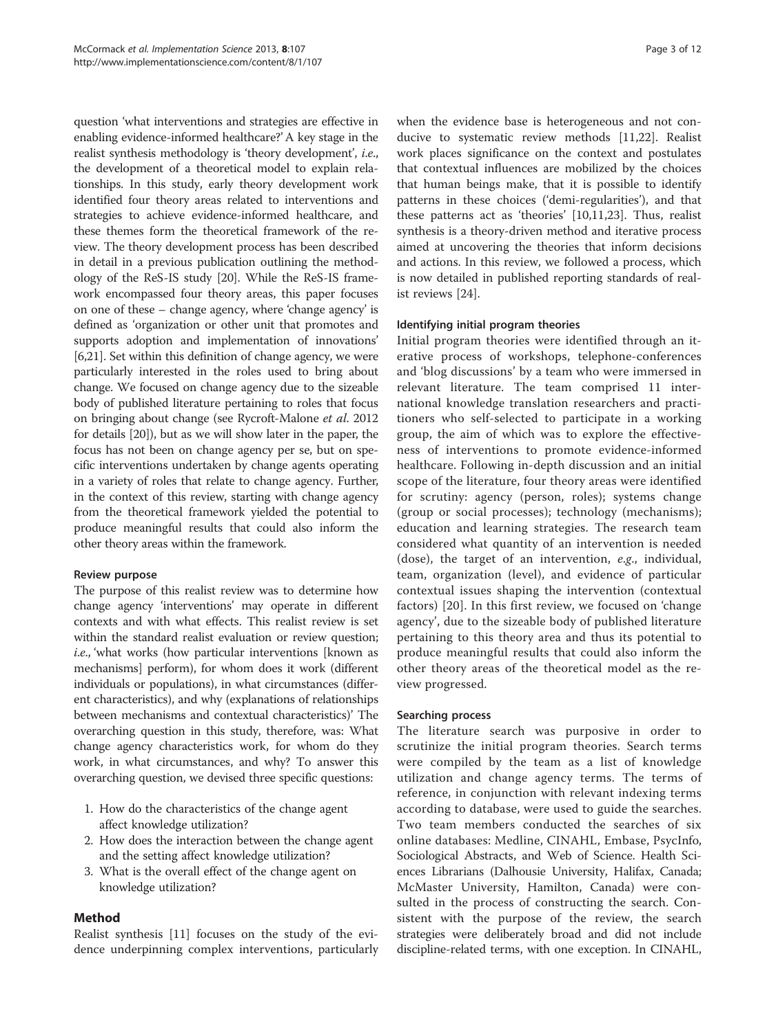question 'what interventions and strategies are effective in enabling evidence-informed healthcare?' A key stage in the realist synthesis methodology is 'theory development', i.e., the development of a theoretical model to explain relationships. In this study, early theory development work identified four theory areas related to interventions and strategies to achieve evidence-informed healthcare, and these themes form the theoretical framework of the review. The theory development process has been described in detail in a previous publication outlining the methodology of the ReS-IS study [[20](#page-9-0)]. While the ReS-IS framework encompassed four theory areas, this paper focuses on one of these – change agency, where 'change agency' is defined as 'organization or other unit that promotes and supports adoption and implementation of innovations' [[6,21](#page-9-0)]. Set within this definition of change agency, we were particularly interested in the roles used to bring about change. We focused on change agency due to the sizeable body of published literature pertaining to roles that focus on bringing about change (see Rycroft-Malone et al. 2012 for details [\[20\]](#page-9-0)), but as we will show later in the paper, the focus has not been on change agency per se, but on specific interventions undertaken by change agents operating in a variety of roles that relate to change agency. Further, in the context of this review, starting with change agency from the theoretical framework yielded the potential to produce meaningful results that could also inform the other theory areas within the framework.

# Review purpose

The purpose of this realist review was to determine how change agency 'interventions' may operate in different contexts and with what effects. This realist review is set within the standard realist evaluation or review question; i.e., 'what works (how particular interventions [known as mechanisms] perform), for whom does it work (different individuals or populations), in what circumstances (different characteristics), and why (explanations of relationships between mechanisms and contextual characteristics)' The overarching question in this study, therefore, was: What change agency characteristics work, for whom do they work, in what circumstances, and why? To answer this overarching question, we devised three specific questions:

- 1. How do the characteristics of the change agent affect knowledge utilization?
- 2. How does the interaction between the change agent and the setting affect knowledge utilization?
- 3. What is the overall effect of the change agent on knowledge utilization?

## Method

Realist synthesis [\[11\]](#page-9-0) focuses on the study of the evidence underpinning complex interventions, particularly

when the evidence base is heterogeneous and not conducive to systematic review methods [\[11,22](#page-9-0)]. Realist work places significance on the context and postulates that contextual influences are mobilized by the choices that human beings make, that it is possible to identify patterns in these choices ('demi-regularities'), and that these patterns act as 'theories' [\[10,11,23\]](#page-9-0). Thus, realist synthesis is a theory-driven method and iterative process aimed at uncovering the theories that inform decisions and actions. In this review, we followed a process, which is now detailed in published reporting standards of realist reviews [[24](#page-9-0)].

# Identifying initial program theories

Initial program theories were identified through an iterative process of workshops, telephone-conferences and 'blog discussions' by a team who were immersed in relevant literature. The team comprised 11 international knowledge translation researchers and practitioners who self-selected to participate in a working group, the aim of which was to explore the effectiveness of interventions to promote evidence-informed healthcare. Following in-depth discussion and an initial scope of the literature, four theory areas were identified for scrutiny: agency (person, roles); systems change (group or social processes); technology (mechanisms); education and learning strategies. The research team considered what quantity of an intervention is needed (dose), the target of an intervention, e.g., individual, team, organization (level), and evidence of particular contextual issues shaping the intervention (contextual factors) [[20\]](#page-9-0). In this first review, we focused on 'change agency', due to the sizeable body of published literature pertaining to this theory area and thus its potential to produce meaningful results that could also inform the other theory areas of the theoretical model as the review progressed.

## Searching process

The literature search was purposive in order to scrutinize the initial program theories. Search terms were compiled by the team as a list of knowledge utilization and change agency terms. The terms of reference, in conjunction with relevant indexing terms according to database, were used to guide the searches. Two team members conducted the searches of six online databases: Medline, CINAHL, Embase, PsycInfo, Sociological Abstracts, and Web of Science. Health Sciences Librarians (Dalhousie University, Halifax, Canada; McMaster University, Hamilton, Canada) were consulted in the process of constructing the search. Consistent with the purpose of the review, the search strategies were deliberately broad and did not include discipline-related terms, with one exception. In CINAHL,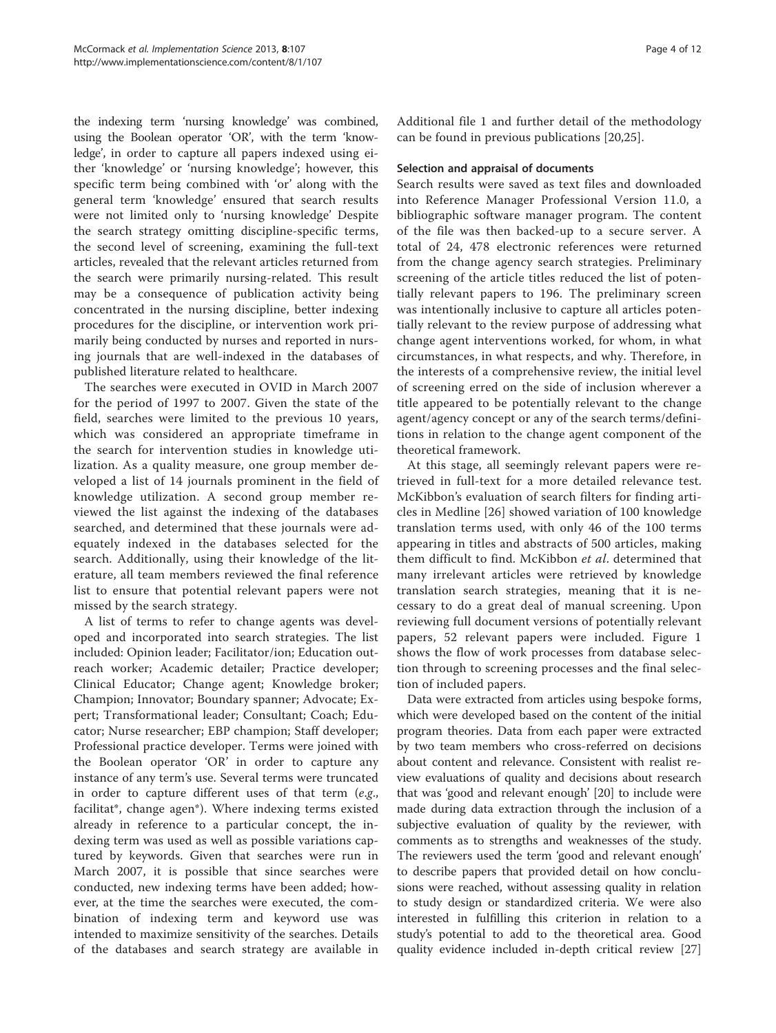the indexing term 'nursing knowledge' was combined, using the Boolean operator 'OR', with the term 'knowledge', in order to capture all papers indexed using either 'knowledge' or 'nursing knowledge'; however, this specific term being combined with 'or' along with the general term 'knowledge' ensured that search results were not limited only to 'nursing knowledge' Despite the search strategy omitting discipline-specific terms, the second level of screening, examining the full-text articles, revealed that the relevant articles returned from the search were primarily nursing-related. This result may be a consequence of publication activity being concentrated in the nursing discipline, better indexing procedures for the discipline, or intervention work primarily being conducted by nurses and reported in nursing journals that are well-indexed in the databases of published literature related to healthcare.

The searches were executed in OVID in March 2007 for the period of 1997 to 2007. Given the state of the field, searches were limited to the previous 10 years, which was considered an appropriate timeframe in the search for intervention studies in knowledge utilization. As a quality measure, one group member developed a list of 14 journals prominent in the field of knowledge utilization. A second group member reviewed the list against the indexing of the databases searched, and determined that these journals were adequately indexed in the databases selected for the search. Additionally, using their knowledge of the literature, all team members reviewed the final reference list to ensure that potential relevant papers were not missed by the search strategy.

A list of terms to refer to change agents was developed and incorporated into search strategies. The list included: Opinion leader; Facilitator/ion; Education outreach worker; Academic detailer; Practice developer; Clinical Educator; Change agent; Knowledge broker; Champion; Innovator; Boundary spanner; Advocate; Expert; Transformational leader; Consultant; Coach; Educator; Nurse researcher; EBP champion; Staff developer; Professional practice developer. Terms were joined with the Boolean operator 'OR' in order to capture any instance of any term's use. Several terms were truncated in order to capture different uses of that term  $(e.g.,)$ facilitat\*, change agen\*). Where indexing terms existed already in reference to a particular concept, the indexing term was used as well as possible variations captured by keywords. Given that searches were run in March 2007, it is possible that since searches were conducted, new indexing terms have been added; however, at the time the searches were executed, the combination of indexing term and keyword use was intended to maximize sensitivity of the searches. Details of the databases and search strategy are available in

Additional file [1](#page-9-0) and further detail of the methodology can be found in previous publications [[20,](#page-9-0)[25](#page-10-0)].

## Selection and appraisal of documents

Search results were saved as text files and downloaded into Reference Manager Professional Version 11.0, a bibliographic software manager program. The content of the file was then backed-up to a secure server. A total of 24, 478 electronic references were returned from the change agency search strategies. Preliminary screening of the article titles reduced the list of potentially relevant papers to 196. The preliminary screen was intentionally inclusive to capture all articles potentially relevant to the review purpose of addressing what change agent interventions worked, for whom, in what circumstances, in what respects, and why. Therefore, in the interests of a comprehensive review, the initial level of screening erred on the side of inclusion wherever a title appeared to be potentially relevant to the change agent/agency concept or any of the search terms/definitions in relation to the change agent component of the theoretical framework.

At this stage, all seemingly relevant papers were retrieved in full-text for a more detailed relevance test. McKibbon's evaluation of search filters for finding articles in Medline [[26\]](#page-10-0) showed variation of 100 knowledge translation terms used, with only 46 of the 100 terms appearing in titles and abstracts of 500 articles, making them difficult to find. McKibbon et al. determined that many irrelevant articles were retrieved by knowledge translation search strategies, meaning that it is necessary to do a great deal of manual screening. Upon reviewing full document versions of potentially relevant papers, 52 relevant papers were included. Figure [1](#page-4-0) shows the flow of work processes from database selection through to screening processes and the final selection of included papers.

Data were extracted from articles using bespoke forms, which were developed based on the content of the initial program theories. Data from each paper were extracted by two team members who cross-referred on decisions about content and relevance. Consistent with realist review evaluations of quality and decisions about research that was 'good and relevant enough' [[20\]](#page-9-0) to include were made during data extraction through the inclusion of a subjective evaluation of quality by the reviewer, with comments as to strengths and weaknesses of the study. The reviewers used the term 'good and relevant enough' to describe papers that provided detail on how conclusions were reached, without assessing quality in relation to study design or standardized criteria. We were also interested in fulfilling this criterion in relation to a study's potential to add to the theoretical area. Good quality evidence included in-depth critical review [[27](#page-10-0)]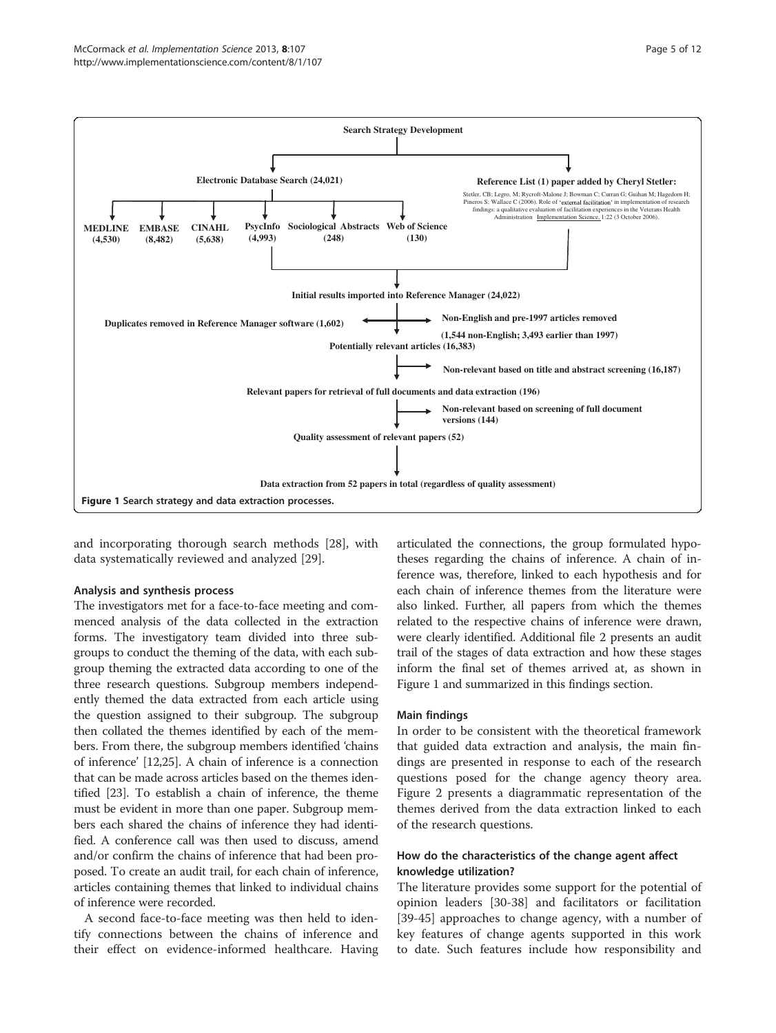<span id="page-4-0"></span>

and incorporating thorough search methods [[28\]](#page-10-0), with data systematically reviewed and analyzed [\[29](#page-10-0)].

## Analysis and synthesis process

The investigators met for a face-to-face meeting and commenced analysis of the data collected in the extraction forms. The investigatory team divided into three subgroups to conduct the theming of the data, with each subgroup theming the extracted data according to one of the three research questions. Subgroup members independently themed the data extracted from each article using the question assigned to their subgroup. The subgroup then collated the themes identified by each of the members. From there, the subgroup members identified 'chains of inference' [[12](#page-9-0)[,25](#page-10-0)]. A chain of inference is a connection that can be made across articles based on the themes identified [\[23](#page-9-0)]. To establish a chain of inference, the theme must be evident in more than one paper. Subgroup members each shared the chains of inference they had identified. A conference call was then used to discuss, amend and/or confirm the chains of inference that had been proposed. To create an audit trail, for each chain of inference, articles containing themes that linked to individual chains of inference were recorded.

A second face-to-face meeting was then held to identify connections between the chains of inference and their effect on evidence-informed healthcare. Having articulated the connections, the group formulated hypotheses regarding the chains of inference. A chain of inference was, therefore, linked to each hypothesis and for each chain of inference themes from the literature were also linked. Further, all papers from which the themes related to the respective chains of inference were drawn, were clearly identified. Additional file [2](#page-9-0) presents an audit trail of the stages of data extraction and how these stages inform the final set of themes arrived at, as shown in Figure 1 and summarized in this findings section.

## Main findings

In order to be consistent with the theoretical framework that guided data extraction and analysis, the main findings are presented in response to each of the research questions posed for the change agency theory area. Figure [2](#page-5-0) presents a diagrammatic representation of the themes derived from the data extraction linked to each of the research questions.

## How do the characteristics of the change agent affect knowledge utilization?

The literature provides some support for the potential of opinion leaders [\[30](#page-10-0)-[38\]](#page-10-0) and facilitators or facilitation [[39-45](#page-10-0)] approaches to change agency, with a number of key features of change agents supported in this work to date. Such features include how responsibility and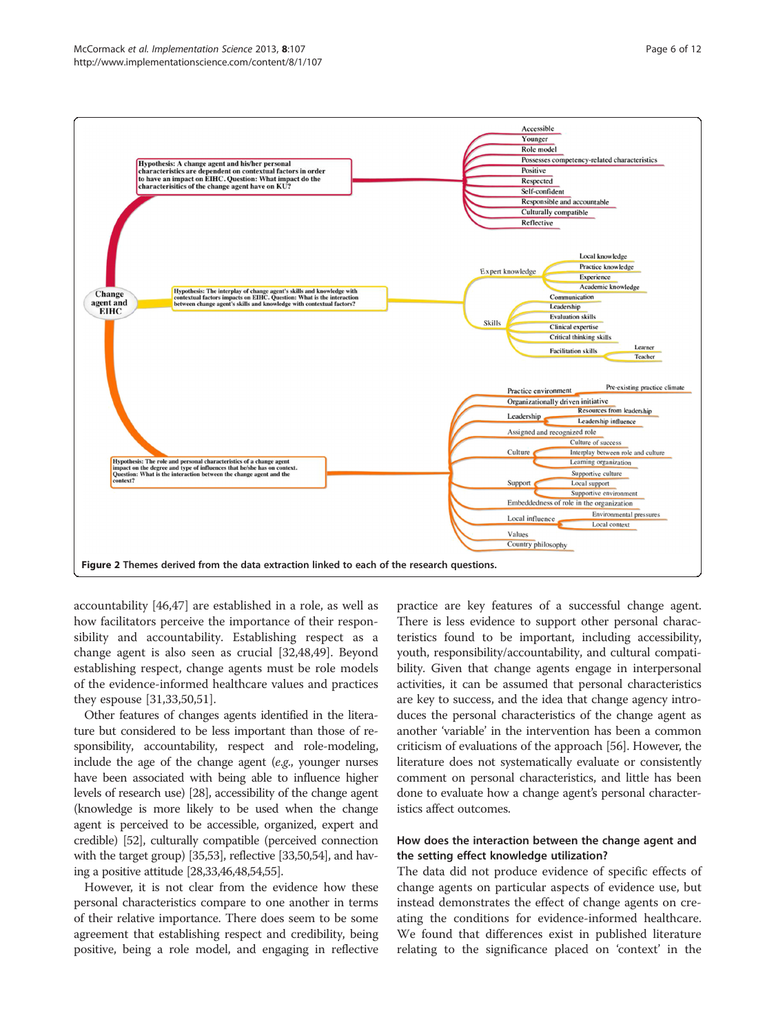<span id="page-5-0"></span>

accountability [[46,47\]](#page-10-0) are established in a role, as well as how facilitators perceive the importance of their responsibility and accountability. Establishing respect as a change agent is also seen as crucial [[32,48,49\]](#page-10-0). Beyond establishing respect, change agents must be role models of the evidence-informed healthcare values and practices they espouse [\[31,33,50,51\]](#page-10-0).

Other features of changes agents identified in the literature but considered to be less important than those of responsibility, accountability, respect and role-modeling, include the age of the change agent (e.g., younger nurses have been associated with being able to influence higher levels of research use) [\[28](#page-10-0)], accessibility of the change agent (knowledge is more likely to be used when the change agent is perceived to be accessible, organized, expert and credible) [\[52\]](#page-10-0), culturally compatible (perceived connection with the target group) [[35,53\]](#page-10-0), reflective [[33,50,54\]](#page-10-0), and having a positive attitude [\[28,33,46,48,54,55\]](#page-10-0).

However, it is not clear from the evidence how these personal characteristics compare to one another in terms of their relative importance. There does seem to be some agreement that establishing respect and credibility, being positive, being a role model, and engaging in reflective

practice are key features of a successful change agent. There is less evidence to support other personal characteristics found to be important, including accessibility, youth, responsibility/accountability, and cultural compatibility. Given that change agents engage in interpersonal activities, it can be assumed that personal characteristics are key to success, and the idea that change agency introduces the personal characteristics of the change agent as another 'variable' in the intervention has been a common criticism of evaluations of the approach [\[56](#page-10-0)]. However, the literature does not systematically evaluate or consistently comment on personal characteristics, and little has been done to evaluate how a change agent's personal characteristics affect outcomes.

# How does the interaction between the change agent and the setting effect knowledge utilization?

The data did not produce evidence of specific effects of change agents on particular aspects of evidence use, but instead demonstrates the effect of change agents on creating the conditions for evidence-informed healthcare. We found that differences exist in published literature relating to the significance placed on 'context' in the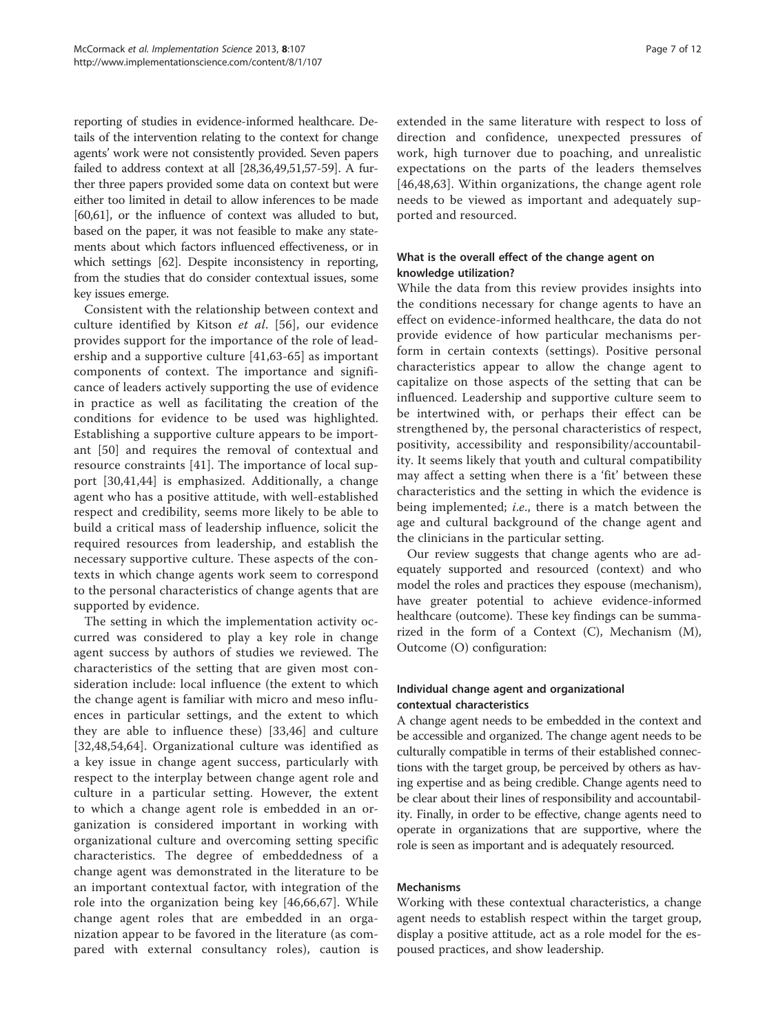reporting of studies in evidence-informed healthcare. Details of the intervention relating to the context for change agents' work were not consistently provided. Seven papers failed to address context at all [\[28,36,49,51,57](#page-10-0)-[59](#page-10-0)]. A further three papers provided some data on context but were either too limited in detail to allow inferences to be made [[60,61](#page-10-0)], or the influence of context was alluded to but, based on the paper, it was not feasible to make any statements about which factors influenced effectiveness, or in which settings [\[62\]](#page-10-0). Despite inconsistency in reporting, from the studies that do consider contextual issues, some key issues emerge.

Consistent with the relationship between context and culture identified by Kitson et al. [\[56](#page-10-0)], our evidence provides support for the importance of the role of leadership and a supportive culture [[41,63](#page-10-0)-[65\]](#page-10-0) as important components of context. The importance and significance of leaders actively supporting the use of evidence in practice as well as facilitating the creation of the conditions for evidence to be used was highlighted. Establishing a supportive culture appears to be important [\[50](#page-10-0)] and requires the removal of contextual and resource constraints [[41\]](#page-10-0). The importance of local support [\[30,41,44](#page-10-0)] is emphasized. Additionally, a change agent who has a positive attitude, with well-established respect and credibility, seems more likely to be able to build a critical mass of leadership influence, solicit the required resources from leadership, and establish the necessary supportive culture. These aspects of the contexts in which change agents work seem to correspond to the personal characteristics of change agents that are supported by evidence.

The setting in which the implementation activity occurred was considered to play a key role in change agent success by authors of studies we reviewed. The characteristics of the setting that are given most consideration include: local influence (the extent to which the change agent is familiar with micro and meso influences in particular settings, and the extent to which they are able to influence these) [[33,46](#page-10-0)] and culture [[32,48,54,64](#page-10-0)]. Organizational culture was identified as a key issue in change agent success, particularly with respect to the interplay between change agent role and culture in a particular setting. However, the extent to which a change agent role is embedded in an organization is considered important in working with organizational culture and overcoming setting specific characteristics. The degree of embeddedness of a change agent was demonstrated in the literature to be an important contextual factor, with integration of the role into the organization being key [[46,66,67\]](#page-10-0). While change agent roles that are embedded in an organization appear to be favored in the literature (as compared with external consultancy roles), caution is extended in the same literature with respect to loss of direction and confidence, unexpected pressures of work, high turnover due to poaching, and unrealistic expectations on the parts of the leaders themselves [[46,48,63](#page-10-0)]. Within organizations, the change agent role needs to be viewed as important and adequately supported and resourced.

# What is the overall effect of the change agent on knowledge utilization?

While the data from this review provides insights into the conditions necessary for change agents to have an effect on evidence-informed healthcare, the data do not provide evidence of how particular mechanisms perform in certain contexts (settings). Positive personal characteristics appear to allow the change agent to capitalize on those aspects of the setting that can be influenced. Leadership and supportive culture seem to be intertwined with, or perhaps their effect can be strengthened by, the personal characteristics of respect, positivity, accessibility and responsibility/accountability. It seems likely that youth and cultural compatibility may affect a setting when there is a 'fit' between these characteristics and the setting in which the evidence is being implemented; i.e., there is a match between the age and cultural background of the change agent and the clinicians in the particular setting.

Our review suggests that change agents who are adequately supported and resourced (context) and who model the roles and practices they espouse (mechanism), have greater potential to achieve evidence-informed healthcare (outcome). These key findings can be summarized in the form of a Context (C), Mechanism (M), Outcome (O) configuration:

# Individual change agent and organizational contextual characteristics

A change agent needs to be embedded in the context and be accessible and organized. The change agent needs to be culturally compatible in terms of their established connections with the target group, be perceived by others as having expertise and as being credible. Change agents need to be clear about their lines of responsibility and accountability. Finally, in order to be effective, change agents need to operate in organizations that are supportive, where the role is seen as important and is adequately resourced.

# Mechanisms

Working with these contextual characteristics, a change agent needs to establish respect within the target group, display a positive attitude, act as a role model for the espoused practices, and show leadership.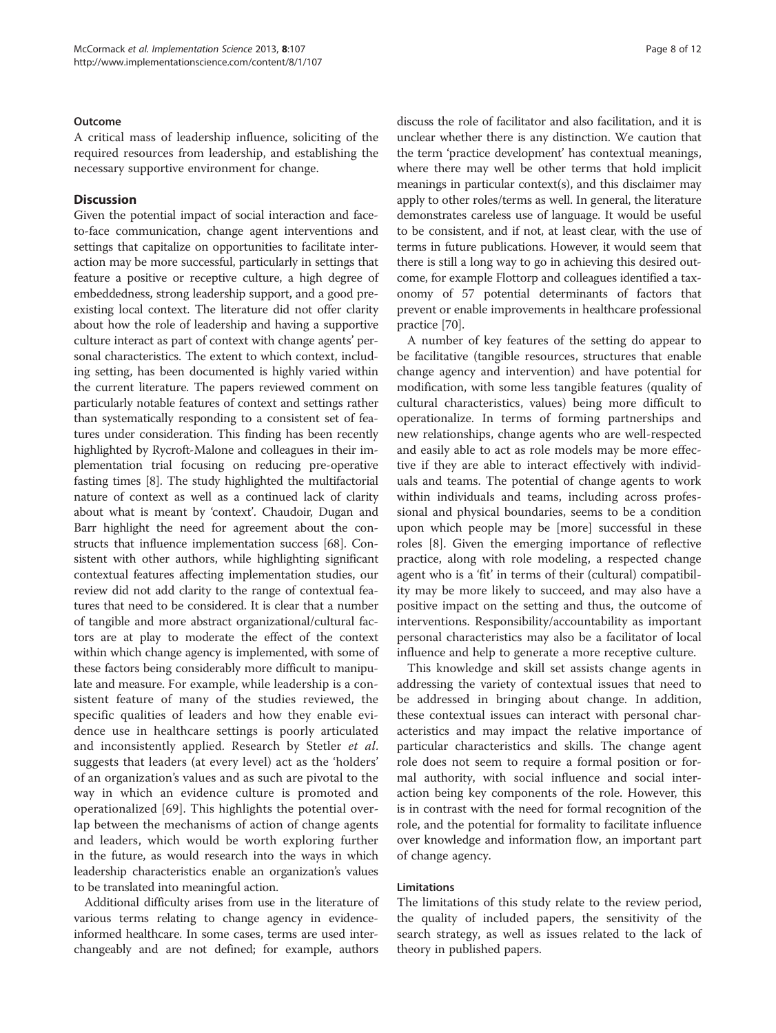#### Outcome

A critical mass of leadership influence, soliciting of the required resources from leadership, and establishing the necessary supportive environment for change.

## **Discussion**

Given the potential impact of social interaction and faceto-face communication, change agent interventions and settings that capitalize on opportunities to facilitate interaction may be more successful, particularly in settings that feature a positive or receptive culture, a high degree of embeddedness, strong leadership support, and a good preexisting local context. The literature did not offer clarity about how the role of leadership and having a supportive culture interact as part of context with change agents' personal characteristics. The extent to which context, including setting, has been documented is highly varied within the current literature. The papers reviewed comment on particularly notable features of context and settings rather than systematically responding to a consistent set of features under consideration. This finding has been recently highlighted by Rycroft-Malone and colleagues in their implementation trial focusing on reducing pre-operative fasting times [[8\]](#page-9-0). The study highlighted the multifactorial nature of context as well as a continued lack of clarity about what is meant by 'context'. Chaudoir, Dugan and Barr highlight the need for agreement about the constructs that influence implementation success [\[68\]](#page-10-0). Consistent with other authors, while highlighting significant contextual features affecting implementation studies, our review did not add clarity to the range of contextual features that need to be considered. It is clear that a number of tangible and more abstract organizational/cultural factors are at play to moderate the effect of the context within which change agency is implemented, with some of these factors being considerably more difficult to manipulate and measure. For example, while leadership is a consistent feature of many of the studies reviewed, the specific qualities of leaders and how they enable evidence use in healthcare settings is poorly articulated and inconsistently applied. Research by Stetler et al. suggests that leaders (at every level) act as the 'holders' of an organization's values and as such are pivotal to the way in which an evidence culture is promoted and operationalized [\[69](#page-10-0)]. This highlights the potential overlap between the mechanisms of action of change agents and leaders, which would be worth exploring further in the future, as would research into the ways in which leadership characteristics enable an organization's values to be translated into meaningful action.

Additional difficulty arises from use in the literature of various terms relating to change agency in evidenceinformed healthcare. In some cases, terms are used interchangeably and are not defined; for example, authors

discuss the role of facilitator and also facilitation, and it is unclear whether there is any distinction. We caution that the term 'practice development' has contextual meanings, where there may well be other terms that hold implicit meanings in particular context(s), and this disclaimer may apply to other roles/terms as well. In general, the literature demonstrates careless use of language. It would be useful to be consistent, and if not, at least clear, with the use of terms in future publications. However, it would seem that there is still a long way to go in achieving this desired outcome, for example Flottorp and colleagues identified a taxonomy of 57 potential determinants of factors that prevent or enable improvements in healthcare professional practice [[70](#page-10-0)].

A number of key features of the setting do appear to be facilitative (tangible resources, structures that enable change agency and intervention) and have potential for modification, with some less tangible features (quality of cultural characteristics, values) being more difficult to operationalize. In terms of forming partnerships and new relationships, change agents who are well-respected and easily able to act as role models may be more effective if they are able to interact effectively with individuals and teams. The potential of change agents to work within individuals and teams, including across professional and physical boundaries, seems to be a condition upon which people may be [more] successful in these roles [\[8](#page-9-0)]. Given the emerging importance of reflective practice, along with role modeling, a respected change agent who is a 'fit' in terms of their (cultural) compatibility may be more likely to succeed, and may also have a positive impact on the setting and thus, the outcome of interventions. Responsibility/accountability as important personal characteristics may also be a facilitator of local influence and help to generate a more receptive culture.

This knowledge and skill set assists change agents in addressing the variety of contextual issues that need to be addressed in bringing about change. In addition, these contextual issues can interact with personal characteristics and may impact the relative importance of particular characteristics and skills. The change agent role does not seem to require a formal position or formal authority, with social influence and social interaction being key components of the role. However, this is in contrast with the need for formal recognition of the role, and the potential for formality to facilitate influence over knowledge and information flow, an important part of change agency.

#### Limitations

The limitations of this study relate to the review period, the quality of included papers, the sensitivity of the search strategy, as well as issues related to the lack of theory in published papers.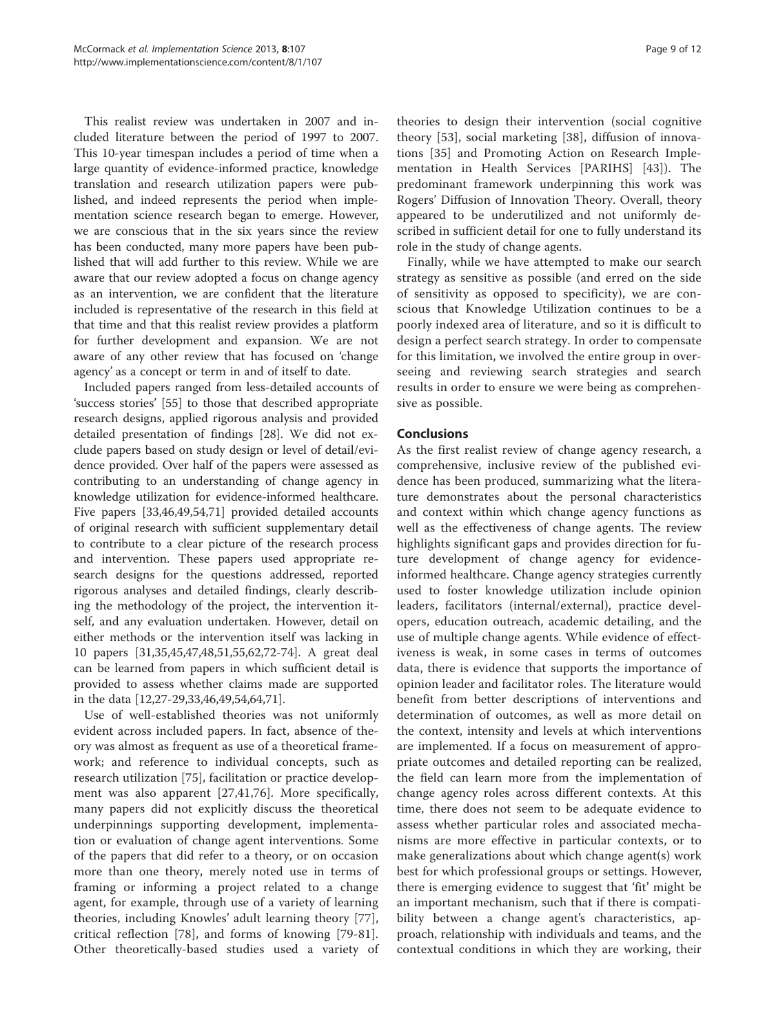This realist review was undertaken in 2007 and included literature between the period of 1997 to 2007. This 10-year timespan includes a period of time when a large quantity of evidence-informed practice, knowledge translation and research utilization papers were published, and indeed represents the period when implementation science research began to emerge. However, we are conscious that in the six years since the review has been conducted, many more papers have been published that will add further to this review. While we are aware that our review adopted a focus on change agency as an intervention, we are confident that the literature included is representative of the research in this field at that time and that this realist review provides a platform for further development and expansion. We are not aware of any other review that has focused on 'change agency' as a concept or term in and of itself to date.

Included papers ranged from less-detailed accounts of 'success stories' [\[55\]](#page-10-0) to those that described appropriate research designs, applied rigorous analysis and provided detailed presentation of findings [\[28](#page-10-0)]. We did not exclude papers based on study design or level of detail/evidence provided. Over half of the papers were assessed as contributing to an understanding of change agency in knowledge utilization for evidence-informed healthcare. Five papers [\[33,46,49,54,71\]](#page-10-0) provided detailed accounts of original research with sufficient supplementary detail to contribute to a clear picture of the research process and intervention. These papers used appropriate research designs for the questions addressed, reported rigorous analyses and detailed findings, clearly describing the methodology of the project, the intervention itself, and any evaluation undertaken. However, detail on either methods or the intervention itself was lacking in 10 papers [[31,35,45,47,48](#page-10-0),[51](#page-10-0),[55](#page-10-0),[62](#page-10-0),[72](#page-10-0)-[74\]](#page-11-0). A great deal can be learned from papers in which sufficient detail is provided to assess whether claims made are supported in the data [[12,](#page-9-0)[27-29,33,46,49,54,64,71\]](#page-10-0).

Use of well-established theories was not uniformly evident across included papers. In fact, absence of theory was almost as frequent as use of a theoretical framework; and reference to individual concepts, such as research utilization [\[75](#page-11-0)], facilitation or practice development was also apparent [\[27,41](#page-10-0),[76\]](#page-11-0). More specifically, many papers did not explicitly discuss the theoretical underpinnings supporting development, implementation or evaluation of change agent interventions. Some of the papers that did refer to a theory, or on occasion more than one theory, merely noted use in terms of framing or informing a project related to a change agent, for example, through use of a variety of learning theories, including Knowles' adult learning theory [\[77](#page-11-0)], critical reflection [[78](#page-11-0)], and forms of knowing [\[79](#page-11-0)-[81](#page-11-0)]. Other theoretically-based studies used a variety of theories to design their intervention (social cognitive theory [[53\]](#page-10-0), social marketing [[38\]](#page-10-0), diffusion of innovations [\[35](#page-10-0)] and Promoting Action on Research Implementation in Health Services [PARIHS] [\[43](#page-10-0)]). The predominant framework underpinning this work was Rogers' Diffusion of Innovation Theory. Overall, theory appeared to be underutilized and not uniformly described in sufficient detail for one to fully understand its role in the study of change agents.

Finally, while we have attempted to make our search strategy as sensitive as possible (and erred on the side of sensitivity as opposed to specificity), we are conscious that Knowledge Utilization continues to be a poorly indexed area of literature, and so it is difficult to design a perfect search strategy. In order to compensate for this limitation, we involved the entire group in overseeing and reviewing search strategies and search results in order to ensure we were being as comprehensive as possible.

# Conclusions

As the first realist review of change agency research, a comprehensive, inclusive review of the published evidence has been produced, summarizing what the literature demonstrates about the personal characteristics and context within which change agency functions as well as the effectiveness of change agents. The review highlights significant gaps and provides direction for future development of change agency for evidenceinformed healthcare. Change agency strategies currently used to foster knowledge utilization include opinion leaders, facilitators (internal/external), practice developers, education outreach, academic detailing, and the use of multiple change agents. While evidence of effectiveness is weak, in some cases in terms of outcomes data, there is evidence that supports the importance of opinion leader and facilitator roles. The literature would benefit from better descriptions of interventions and determination of outcomes, as well as more detail on the context, intensity and levels at which interventions are implemented. If a focus on measurement of appropriate outcomes and detailed reporting can be realized, the field can learn more from the implementation of change agency roles across different contexts. At this time, there does not seem to be adequate evidence to assess whether particular roles and associated mechanisms are more effective in particular contexts, or to make generalizations about which change agent(s) work best for which professional groups or settings. However, there is emerging evidence to suggest that 'fit' might be an important mechanism, such that if there is compatibility between a change agent's characteristics, approach, relationship with individuals and teams, and the contextual conditions in which they are working, their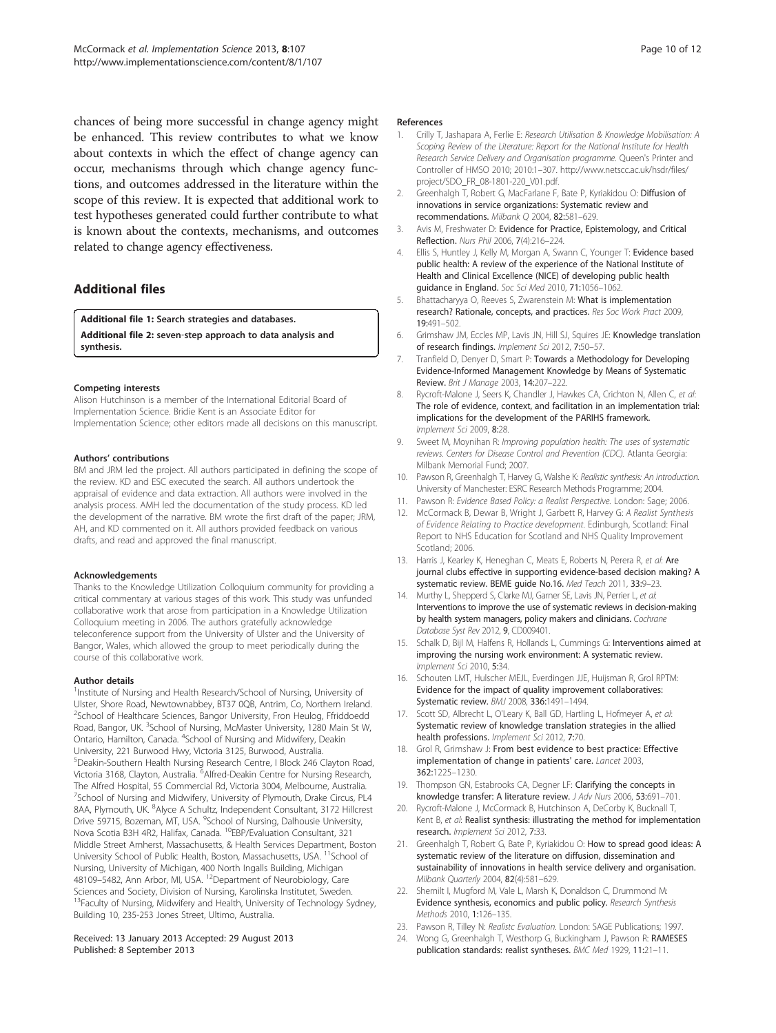<span id="page-9-0"></span>chances of being more successful in change agency might be enhanced. This review contributes to what we know about contexts in which the effect of change agency can occur, mechanisms through which change agency functions, and outcomes addressed in the literature within the scope of this review. It is expected that additional work to test hypotheses generated could further contribute to what is known about the contexts, mechanisms, and outcomes related to change agency effectiveness.

# Additional files

[Additional file 1:](http://www.biomedcentral.com/content/supplementary/1748-5908-8-107-S1.pdf) Search strategies and databases. [Additional file 2:](http://www.biomedcentral.com/content/supplementary/1748-5908-8-107-S2.pdf) seven‐step approach to data analysis and synthesis.

#### Competing interests

Alison Hutchinson is a member of the International Editorial Board of Implementation Science. Bridie Kent is an Associate Editor for Implementation Science; other editors made all decisions on this manuscript.

#### Authors' contributions

BM and JRM led the project. All authors participated in defining the scope of the review. KD and ESC executed the search. All authors undertook the appraisal of evidence and data extraction. All authors were involved in the analysis process. AMH led the documentation of the study process. KD led the development of the narrative. BM wrote the first draft of the paper; JRM, AH, and KD commented on it. All authors provided feedback on various drafts, and read and approved the final manuscript.

#### Acknowledgements

Thanks to the Knowledge Utilization Colloquium community for providing a critical commentary at various stages of this work. This study was unfunded collaborative work that arose from participation in a Knowledge Utilization Colloquium meeting in 2006. The authors gratefully acknowledge teleconference support from the University of Ulster and the University of Bangor, Wales, which allowed the group to meet periodically during the course of this collaborative work.

#### Author details

<sup>1</sup>Institute of Nursing and Health Research/School of Nursing, University of Ulster, Shore Road, Newtownabbey, BT37 0QB, Antrim, Co, Northern Ireland. <sup>2</sup>School of Healthcare Sciences, Bangor University, Fron Heulog, Ffriddoedd Road, Bangor, UK.<sup>3</sup> School of Nursing, McMaster University, 1280 Main St W, Ontario, Hamilton, Canada. <sup>4</sup>School of Nursing and Midwifery, Deakin University, 221 Burwood Hwy, Victoria 3125, Burwood, Australia. 5 Deakin-Southern Health Nursing Research Centre, I Block 246 Clayton Road, Victoria 3168, Clayton, Australia. <sup>6</sup>Alfred-Deakin Centre for Nursing Research, The Alfred Hospital, 55 Commercial Rd, Victoria 3004, Melbourne, Australia. <sup>7</sup>School of Nursing and Midwifery, University of Plymouth, Drake Circus, PL4 8AA, Plymouth, UK. <sup>8</sup>Alyce A Schultz, Independent Consultant, 3172 Hillcrest Drive 59715, Bozeman, MT, USA. <sup>9</sup>School of Nursing, Dalhousie University, Nova Scotia B3H 4R2, Halifax, Canada. 10EBP/Evaluation Consultant, 321 Middle Street Amherst, Massachusetts, & Health Services Department, Boston University School of Public Health, Boston, Massachusetts, USA. <sup>11</sup>School of Nursing, University of Michigan, 400 North Ingalls Building, Michigan 48109–5482, Ann Arbor, MI, USA. 12Department of Neurobiology, Care Sciences and Society, Division of Nursing, Karolinska Institutet, Sweden. <sup>13</sup>Faculty of Nursing, Midwifery and Health, University of Technology Sydney, Building 10, 235-253 Jones Street, Ultimo, Australia.

#### Received: 13 January 2013 Accepted: 29 August 2013 Published: 8 September 2013

#### References

- 1. Crilly T, Jashapara A, Ferlie E: Research Utilisation & Knowledge Mobilisation: A Scoping Review of the Literature: Report for the National Institute for Health Research Service Delivery and Organisation programme. Queen's Printer and Controller of HMSO 2010; 2010:1–307. [http://www.netscc.ac.uk/hsdr/files/](http://www.netscc.ac.uk/hsdr/files/project/SDO_FR_08-1801-220_V01.pdf) [project/SDO\\_FR\\_08-1801-220\\_V01.pdf](http://www.netscc.ac.uk/hsdr/files/project/SDO_FR_08-1801-220_V01.pdf).
- 2. Greenhalgh T, Robert G, MacFarlane F, Bate P, Kyriakidou O: Diffusion of innovations in service organizations: Systematic review and recommendations. Milbank Q 2004, 82:581–629.
- 3. Avis M, Freshwater D: Evidence for Practice, Epistemology, and Critical Reflection. Nurs Phil 2006, 7(4):216–224.
- 4. Ellis S, Huntley J, Kelly M, Morgan A, Swann C, Younger T: Evidence based public health: A review of the experience of the National Institute of Health and Clinical Excellence (NICE) of developing public health guidance in England. Soc Sci Med 2010, 71:1056–1062.
- 5. Bhattacharyya O, Reeves S, Zwarenstein M: What is implementation research? Rationale, concepts, and practices. Res Soc Work Pract 2009, 19:491–502.
- 6. Grimshaw JM, Eccles MP, Lavis JN, Hill SJ, Squires JE: Knowledge translation of research findings. Implement Sci 2012, 7:50–57.
- 7. Tranfield D, Denyer D, Smart P: Towards a Methodology for Developing Evidence-Informed Management Knowledge by Means of Systematic Review. Brit J Manage 2003, 14:207–222.
- 8. Rycroft-Malone J, Seers K, Chandler J, Hawkes CA, Crichton N, Allen C, et al: The role of evidence, context, and facilitation in an implementation trial: implications for the development of the PARIHS framework. Implement Sci 2009, 8:28.
- 9. Sweet M, Moynihan R: Improving population health: The uses of systematic reviews. Centers for Disease Control and Prevention (CDC). Atlanta Georgia: Milbank Memorial Fund; 2007.
- 10. Pawson R, Greenhalgh T, Harvey G, Walshe K: Realistic synthesis: An introduction. University of Manchester: ESRC Research Methods Programme; 2004.
- 11. Pawson R: Evidence Based Policy: a Realist Perspective. London: Sage; 2006.
- 12. McCormack B, Dewar B, Wright J, Garbett R, Harvey G: A Realist Synthesis of Evidence Relating to Practice development. Edinburgh, Scotland: Final Report to NHS Education for Scotland and NHS Quality Improvement Scotland; 2006.
- 13. Harris J, Kearley K, Heneghan C, Meats E, Roberts N, Perera R, et al: Are journal clubs effective in supporting evidence-based decision making? A systematic review. BEME guide No.16. Med Teach 2011, 33:9–23.
- 14. Murthy L, Shepperd S, Clarke MJ, Garner SE, Lavis JN, Perrier L, et al: Interventions to improve the use of systematic reviews in decision-making by health system managers, policy makers and clinicians. Cochrane Database Syst Rev 2012, 9, CD009401.
- 15. Schalk D, Bijl M, Halfens R, Hollands L, Cummings G: Interventions aimed at improving the nursing work environment: A systematic review. Implement Sci 2010, 5:34.
- 16. Schouten LMT, Hulscher MEJL, Everdingen JJE, Huijsman R, Grol RPTM: Evidence for the impact of quality improvement collaboratives: Systematic review. BMJ 2008, 336:1491–1494.
- 17. Scott SD, Albrecht L, O'Leary K, Ball GD, Hartling L, Hofmeyer A, et al: Systematic review of knowledge translation strategies in the allied health professions. Implement Sci 2012, 7:70.
- 18. Grol R, Grimshaw J: From best evidence to best practice: Effective implementation of change in patients' care. Lancet 2003, 362:1225–1230.
- 19. Thompson GN, Estabrooks CA, Degner LF: Clarifying the concepts in knowledge transfer: A literature review. J Adv Nurs 2006, 53:691–701.
- 20. Rycroft-Malone J, McCormack B, Hutchinson A, DeCorby K, Bucknall T, Kent B, et al: Realist synthesis: illustrating the method for implementation research. Implement Sci 2012, 7:33.
- 21. Greenhalgh T, Robert G, Bate P, Kyriakidou O: How to spread good ideas: A systematic review of the literature on diffusion, dissemination and sustainability of innovations in health service delivery and organisation. Milbank Quarterly 2004, 82(4):581–629.
- 22. Shemilt I, Mugford M, Vale L, Marsh K, Donaldson C, Drummond M: Evidence synthesis, economics and public policy. Research Synthesis Methods 2010, 1:126–135.
- 23. Pawson R, Tilley N: Realistc Evaluation. London: SAGE Publications; 1997.
- 24. Wong G, Greenhalgh T, Westhorp G, Buckingham J, Pawson R: RAMESES publication standards: realist syntheses. BMC Med 1929, 11:21–11.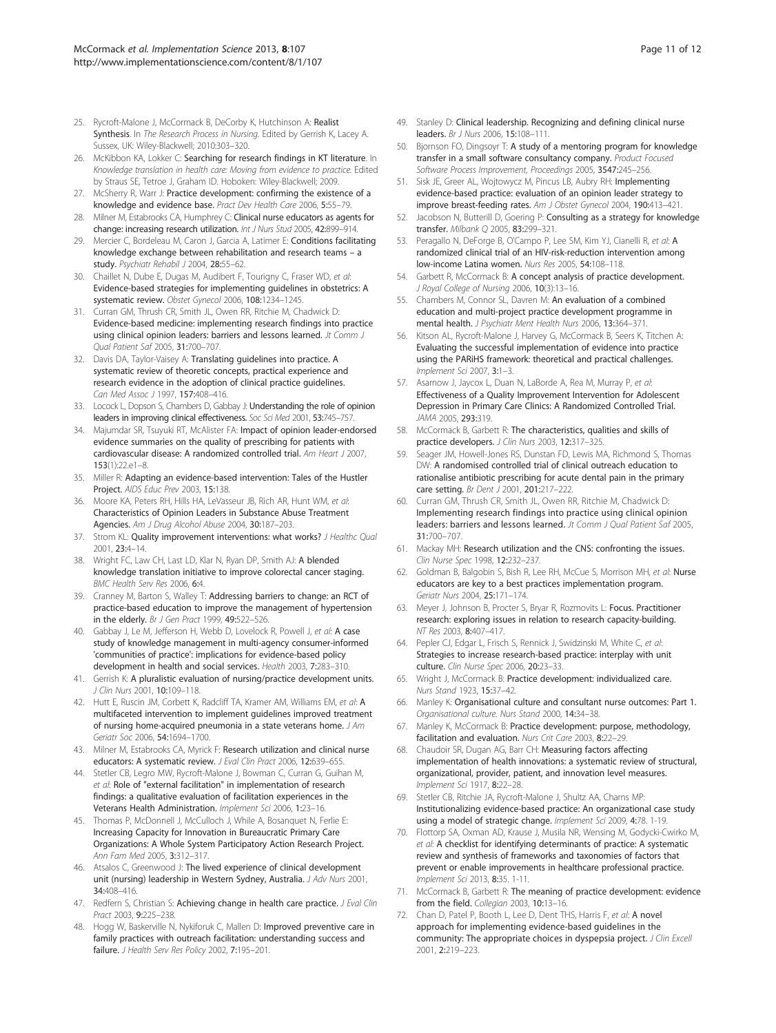- <span id="page-10-0"></span>25. Rycroft-Malone J, McCormack B, DeCorby K, Hutchinson A: Realist Synthesis. In The Research Process in Nursing. Edited by Gerrish K, Lacey A. Sussex, UK: Wiley-Blackwell; 2010:303–320.
- 26. McKibbon KA, Lokker C: Searching for research findings in KT literature. In Knowledge translation in health care: Moving from evidence to practice. Edited by Straus SE, Tetroe J, Graham ID. Hoboken: Wiley-Blackwell; 2009.
- 27. McSherry R, Warr J: Practice development: confirming the existence of a knowledge and evidence base. Pract Dev Health Care 2006, 5:55–79.
- 28. Milner M, Estabrooks CA, Humphrey C: Clinical nurse educators as agents for change: increasing research utilization. Int J Nurs Stud 2005, 42:899–914.
- 29. Mercier C, Bordeleau M, Caron J, Garcia A, Latimer E: Conditions facilitating knowledge exchange between rehabilitation and research teams – a study. Psychiatr Rehabil J 2004, 28:55-62.
- 30. Chaillet N, Dube E, Dugas M, Audibert F, Tourigny C, Fraser WD, et al: Evidence-based strategies for implementing guidelines in obstetrics: A systematic review. Obstet Gynecol 2006, 108:1234–1245.
- 31. Curran GM, Thrush CR, Smith JL, Owen RR, Ritchie M, Chadwick D: Evidence-based medicine: implementing research findings into practice using clinical opinion leaders: barriers and lessons learned. Jt Comm J Qual Patient Saf 2005, 31:700–707.
- 32. Davis DA, Taylor-Vaisey A: Translating guidelines into practice. A systematic review of theoretic concepts, practical experience and research evidence in the adoption of clinical practice guidelines. Can Med Assoc J 1997, 157:408-416.
- 33. Locock L, Dopson S, Chambers D, Gabbay J: Understanding the role of opinion leaders in improving clinical effectiveness. Soc Sci Med 2001, 53:745–757.
- 34. Majumdar SR, Tsuyuki RT, McAlister FA: Impact of opinion leader-endorsed evidence summaries on the quality of prescribing for patients with cardiovascular disease: A randomized controlled trial. Am Heart J 2007,  $153(1):22e1-8$
- 35. Miller R: Adapting an evidence-based intervention: Tales of the Hustler Project. AIDS Educ Prev 2003, 15:138.
- 36. Moore KA, Peters RH, Hills HA, LeVasseur JB, Rich AR, Hunt WM, et al: Characteristics of Opinion Leaders in Substance Abuse Treatment Agencies. Am J Drug Alcohol Abuse 2004, 30:187–203.
- 37. Strom KL: Quality improvement interventions: what works? J Healthc Qual 2001, 23:4–14.
- 38. Wright FC, Law CH, Last LD, Klar N, Ryan DP, Smith AJ: A blended knowledge translation initiative to improve colorectal cancer staging. BMC Health Serv Res 2006, 6:4.
- 39. Cranney M, Barton S, Walley T: Addressing barriers to change: an RCT of practice-based education to improve the management of hypertension in the elderly. Br J Gen Pract 1999, 49:522–526.
- 40. Gabbay J, Le M, Jefferson H, Webb D, Lovelock R, Powell J, et al: A case study of knowledge management in multi-agency consumer-informed 'communities of practice': implications for evidence-based policy development in health and social services. Health 2003, 7:283–310.
- 41. Gerrish K: A pluralistic evaluation of nursing/practice development units. J Clin Nurs 2001, 10:109–118.
- 42. Hutt E, Ruscin JM, Corbett K, Radcliff TA, Kramer AM, Williams EM, et al: A multifaceted intervention to implement guidelines improved treatment of nursing home-acquired pneumonia in a state veterans home. J Am Geriatr Soc 2006, 54:1694–1700.
- 43. Milner M, Estabrooks CA, Myrick F: Research utilization and clinical nurse educators: A systematic review. J Eval Clin Pract 2006, 12:639-655.
- 44. Stetler CB, Legro MW, Rycroft-Malone J, Bowman C, Curran G, Guihan M, et al: Role of "external facilitation" in implementation of research findings: a qualitative evaluation of facilitation experiences in the Veterans Health Administration. Implement Sci 2006, 1:23–16.
- 45. Thomas P, McDonnell J, McCulloch J, While A, Bosanquet N, Ferlie E: Increasing Capacity for Innovation in Bureaucratic Primary Care Organizations: A Whole System Participatory Action Research Project. Ann Fam Med 2005, 3:312–317.
- 46. Atsalos C, Greenwood J: The lived experience of clinical development unit (nursing) leadership in Western Sydney, Australia. J Adv Nurs 2001, 34:408–416.
- 47. Redfern S, Christian S: Achieving change in health care practice. J Eval Clin Pract 2003, 9:225–238.
- 48. Hogg W, Baskerville N, Nykiforuk C, Mallen D: Improved preventive care in family practices with outreach facilitation: understanding success and failure. J Health Serv Res Policy 2002, 7:195–201.
- 49. Stanley D: Clinical leadership. Recognizing and defining clinical nurse leaders. Br J Nurs 2006, 15:108–111.
- 50. Bjornson FO, Dingsoyr T: A study of a mentoring program for knowledge transfer in a small software consultancy company. Product Focused Software Process Improvement, Proceedings 2005, 3547:245–256.
- 51. Sisk JE, Greer AL, Wojtowycz M, Pincus LB, Aubry RH: Implementing evidence-based practice: evaluation of an opinion leader strategy to improve breast-feeding rates. Am J Obstet Gynecol 2004, 190:413–421.
- 52. Jacobson N, Butterill D, Goering P: Consulting as a strategy for knowledge transfer. Milbank Q 2005, 83:299–321.
- 53. Peragallo N, DeForge B, O'Campo P, Lee SM, Kim YJ, Cianelli R, et al: A randomized clinical trial of an HIV-risk-reduction intervention among low-income Latina women. Nurs Res 2005, 54:108–118.
- 54. Garbett R, McCormack B: A concept analysis of practice development. J Royal College of Nursing 2006, 10(3):13–16.
- 55. Chambers M, Connor SL, Davren M: An evaluation of a combined education and multi-project practice development programme in mental health. J Psychiatr Ment Health Nurs 2006, 13:364–371.
- 56. Kitson AL, Rycroft-Malone J, Harvey G, McCormack B, Seers K, Titchen A: Evaluating the successful implementation of evidence into practice using the PARiHS framework: theoretical and practical challenges. Implement Sci 2007, 3:1–3.
- 57. Asarnow J, Jaycox L, Duan N, LaBorde A, Rea M, Murray P, et al: Effectiveness of a Quality Improvement Intervention for Adolescent Depression in Primary Care Clinics: A Randomized Controlled Trial. JAMA 2005, 293:319.
- 58. McCormack B, Garbett R: The characteristics, qualities and skills of practice developers. J Clin Nurs 2003, 12:317-325.
- Seager JM, Howell-Jones RS, Dunstan FD, Lewis MA, Richmond S, Thomas DW: A randomised controlled trial of clinical outreach education to rationalise antibiotic prescribing for acute dental pain in the primary care setting. Br Dent J 2001, 201:217–222.
- 60. Curran GM, Thrush CR, Smith JL, Owen RR, Ritchie M, Chadwick D: Implementing research findings into practice using clinical opinion leaders: barriers and lessons learned. Jt Comm J Qual Patient Saf 2005, 31:700–707.
- 61. Mackay MH: Research utilization and the CNS: confronting the issues. Clin Nurse Spec 1998, 12:232–237.
- 62. Goldman B, Balgobin S, Bish R, Lee RH, McCue S, Morrison MH, et al: Nurse educators are key to a best practices implementation program. Geriatr Nurs 2004, 25:171–174.
- 63. Meyer J, Johnson B, Procter S, Bryar R, Rozmovits L: Focus. Practitioner research: exploring issues in relation to research capacity-building. NT Res 2003, 8:407–417.
- Pepler CJ, Edgar L, Frisch S, Rennick J, Swidzinski M, White C, et al: Strategies to increase research-based practice: interplay with unit culture. Clin Nurse Spec 2006, 20:23-33.
- 65. Wright J, McCormack B: Practice development: individualized care. Nurs Stand 1923, 15:37–42.
- 66. Manley K: Organisational culture and consultant nurse outcomes: Part 1. Organisational culture. Nurs Stand 2000, 14:34–38.
- 67. Manley K, McCormack B: Practice development: purpose, methodology, facilitation and evaluation. Nurs Crit Care 2003, 8:22–29.
- 68. Chaudoir SR, Dugan AG, Barr CH: Measuring factors affecting implementation of health innovations: a systematic review of structural, organizational, provider, patient, and innovation level measures. Implement Sci 1917, 8:22–28.
- 69. Stetler CB, Ritchie JA, Rycroft-Malone J, Shultz AA, Charns MP: Institutionalizing evidence-based practice: An organizational case study using a model of strategic change. Implement Sci 2009, 4:78. 1-19.
- 70. Flottorp SA, Oxman AD, Krause J, Musila NR, Wensing M, Godycki-Cwirko M, et al: A checklist for identifying determinants of practice: A systematic review and synthesis of frameworks and taxonomies of factors that prevent or enable improvements in healthcare professional practice. Implement Sci 2013, 8:35. 1-11.
- 71. McCormack B, Garbett R: The meaning of practice development: evidence from the field. Collegian 2003, 10:13-16.
- 72. Chan D, Patel P, Booth L, Lee D, Dent THS, Harris F, et al: A novel approach for implementing evidence-based guidelines in the community: The appropriate choices in dyspepsia project. J Clin Excell 2001, 2:219–223.